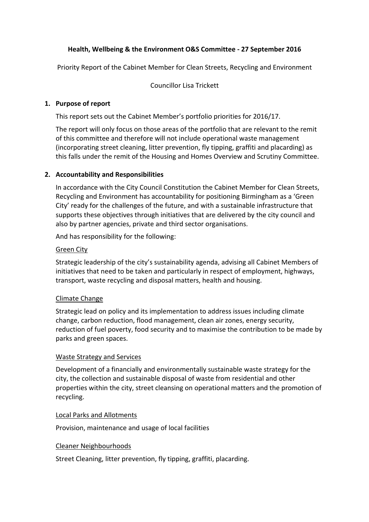# **Health, Wellbeing & the Environment O&S Committee ‐ 27 September 2016**

Priority Report of the Cabinet Member for Clean Streets, Recycling and Environment

Councillor Lisa Trickett

### **1. Purpose of report**

This report sets out the Cabinet Member's portfolio priorities for 2016/17.

The report will only focus on those areas of the portfolio that are relevant to the remit of this committee and therefore will not include operational waste management (incorporating street cleaning, litter prevention, fly tipping, graffiti and placarding) as this falls under the remit of the Housing and Homes Overview and Scrutiny Committee.

### **2. Accountability and Responsibilities**

In accordance with the City Council Constitution the Cabinet Member for Clean Streets, Recycling and Environment has accountability for positioning Birmingham as a 'Green City' ready for the challenges of the future, and with a sustainable infrastructure that supports these objectives through initiatives that are delivered by the city council and also by partner agencies, private and third sector organisations.

And has responsibility for the following:

#### Green City

Strategic leadership of the city's sustainability agenda, advising all Cabinet Members of initiatives that need to be taken and particularly in respect of employment, highways, transport, waste recycling and disposal matters, health and housing.

#### Climate Change

Strategic lead on policy and its implementation to address issues including climate change, carbon reduction, flood management, clean air zones, energy security, reduction of fuel poverty, food security and to maximise the contribution to be made by parks and green spaces.

### Waste Strategy and Services

Development of a financially and environmentally sustainable waste strategy for the city, the collection and sustainable disposal of waste from residential and other properties within the city, street cleansing on operational matters and the promotion of recycling.

#### Local Parks and Allotments

Provision, maintenance and usage of local facilities

#### Cleaner Neighbourhoods

Street Cleaning, litter prevention, fly tipping, graffiti, placarding.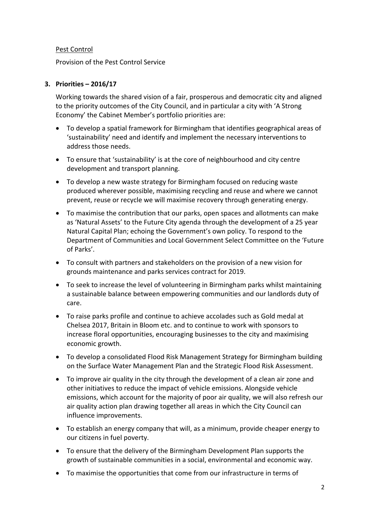# Pest Control

Provision of the Pest Control Service

## **3. Priorities – 2016/17**

Working towards the shared vision of a fair, prosperous and democratic city and aligned to the priority outcomes of the City Council, and in particular a city with 'A Strong Economy' the Cabinet Member's portfolio priorities are:

- To develop a spatial framework for Birmingham that identifies geographical areas of 'sustainability' need and identify and implement the necessary interventions to address those needs.
- To ensure that 'sustainability' is at the core of neighbourhood and city centre development and transport planning.
- To develop a new waste strategy for Birmingham focused on reducing waste produced wherever possible, maximising recycling and reuse and where we cannot prevent, reuse or recycle we will maximise recovery through generating energy.
- To maximise the contribution that our parks, open spaces and allotments can make as 'Natural Assets' to the Future City agenda through the development of a 25 year Natural Capital Plan; echoing the Government's own policy. To respond to the Department of Communities and Local Government Select Committee on the 'Future of Parks'.
- To consult with partners and stakeholders on the provision of a new vision for grounds maintenance and parks services contract for 2019.
- To seek to increase the level of volunteering in Birmingham parks whilst maintaining a sustainable balance between empowering communities and our landlords duty of care.
- To raise parks profile and continue to achieve accolades such as Gold medal at Chelsea 2017, Britain in Bloom etc. and to continue to work with sponsors to increase floral opportunities, encouraging businesses to the city and maximising economic growth.
- To develop a consolidated Flood Risk Management Strategy for Birmingham building on the Surface Water Management Plan and the Strategic Flood Risk Assessment.
- To improve air quality in the city through the development of a clean air zone and other initiatives to reduce the impact of vehicle emissions. Alongside vehicle emissions, which account for the majority of poor air quality, we will also refresh our air quality action plan drawing together all areas in which the City Council can influence improvements.
- To establish an energy company that will, as a minimum, provide cheaper energy to our citizens in fuel poverty.
- To ensure that the delivery of the Birmingham Development Plan supports the growth of sustainable communities in a social, environmental and economic way.
- To maximise the opportunities that come from our infrastructure in terms of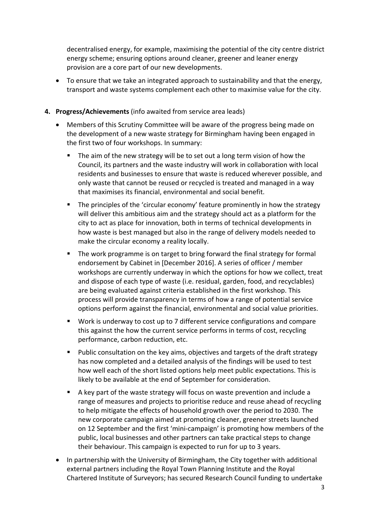decentralised energy, for example, maximising the potential of the city centre district energy scheme; ensuring options around cleaner, greener and leaner energy provision are a core part of our new developments.

 To ensure that we take an integrated approach to sustainability and that the energy, transport and waste systems complement each other to maximise value for the city.

## **4. Progress/Achievements** (info awaited from service area leads)

- Members of this Scrutiny Committee will be aware of the progress being made on the development of a new waste strategy for Birmingham having been engaged in the first two of four workshops. In summary:
	- The aim of the new strategy will be to set out a long term vision of how the Council, its partners and the waste industry will work in collaboration with local residents and businesses to ensure that waste is reduced wherever possible, and only waste that cannot be reused or recycled is treated and managed in a way that maximises its financial, environmental and social benefit.
	- The principles of the 'circular economy' feature prominently in how the strategy will deliver this ambitious aim and the strategy should act as a platform for the city to act as place for innovation, both in terms of technical developments in how waste is best managed but also in the range of delivery models needed to make the circular economy a reality locally.
	- **The work programme is on target to bring forward the final strategy for formal** endorsement by Cabinet in [December 2016]. A series of officer / member workshops are currently underway in which the options for how we collect, treat and dispose of each type of waste (i.e. residual, garden, food, and recyclables) are being evaluated against criteria established in the first workshop. This process will provide transparency in terms of how a range of potential service options perform against the financial, environmental and social value priorities.
	- Work is underway to cost up to 7 different service configurations and compare this against the how the current service performs in terms of cost, recycling performance, carbon reduction, etc.
	- **Public consultation on the key aims, objectives and targets of the draft strategy** has now completed and a detailed analysis of the findings will be used to test how well each of the short listed options help meet public expectations. This is likely to be available at the end of September for consideration.
	- A key part of the waste strategy will focus on waste prevention and include a range of measures and projects to prioritise reduce and reuse ahead of recycling to help mitigate the effects of household growth over the period to 2030. The new corporate campaign aimed at promoting cleaner, greener streets launched on 12 September and the first 'mini‐campaign' is promoting how members of the public, local businesses and other partners can take practical steps to change their behaviour. This campaign is expected to run for up to 3 years.
- In partnership with the University of Birmingham, the City together with additional external partners including the Royal Town Planning Institute and the Royal Chartered Institute of Surveyors; has secured Research Council funding to undertake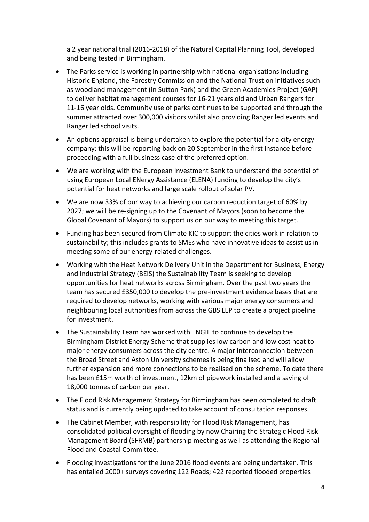a 2 year national trial (2016‐2018) of the Natural Capital Planning Tool, developed and being tested in Birmingham.

- The Parks service is working in partnership with national organisations including Historic England, the Forestry Commission and the National Trust on initiatives such as woodland management (in Sutton Park) and the Green Academies Project (GAP) to deliver habitat management courses for 16‐21 years old and Urban Rangers for 11‐16 year olds. Community use of parks continues to be supported and through the summer attracted over 300,000 visitors whilst also providing Ranger led events and Ranger led school visits.
- An options appraisal is being undertaken to explore the potential for a city energy company; this will be reporting back on 20 September in the first instance before proceeding with a full business case of the preferred option.
- We are working with the European Investment Bank to understand the potential of using European Local ENergy Assistance (ELENA) funding to develop the city's potential for heat networks and large scale rollout of solar PV.
- We are now 33% of our way to achieving our carbon reduction target of 60% by 2027; we will be re‐signing up to the Covenant of Mayors (soon to become the Global Covenant of Mayors) to support us on our way to meeting this target.
- Funding has been secured from Climate KIC to support the cities work in relation to sustainability; this includes grants to SMEs who have innovative ideas to assist us in meeting some of our energy‐related challenges.
- Working with the Heat Network Delivery Unit in the Department for Business, Energy and Industrial Strategy (BEIS) the Sustainability Team is seeking to develop opportunities for heat networks across Birmingham. Over the past two years the team has secured £350,000 to develop the pre‐investment evidence bases that are required to develop networks, working with various major energy consumers and neighbouring local authorities from across the GBS LEP to create a project pipeline for investment.
- The Sustainability Team has worked with ENGIE to continue to develop the Birmingham District Energy Scheme that supplies low carbon and low cost heat to major energy consumers across the city centre. A major interconnection between the Broad Street and Aston University schemes is being finalised and will allow further expansion and more connections to be realised on the scheme. To date there has been £15m worth of investment, 12km of pipework installed and a saving of 18,000 tonnes of carbon per year.
- The Flood Risk Management Strategy for Birmingham has been completed to draft status and is currently being updated to take account of consultation responses.
- The Cabinet Member, with responsibility for Flood Risk Management, has consolidated political oversight of flooding by now Chairing the Strategic Flood Risk Management Board (SFRMB) partnership meeting as well as attending the Regional Flood and Coastal Committee.
- Flooding investigations for the June 2016 flood events are being undertaken. This has entailed 2000+ surveys covering 122 Roads; 422 reported flooded properties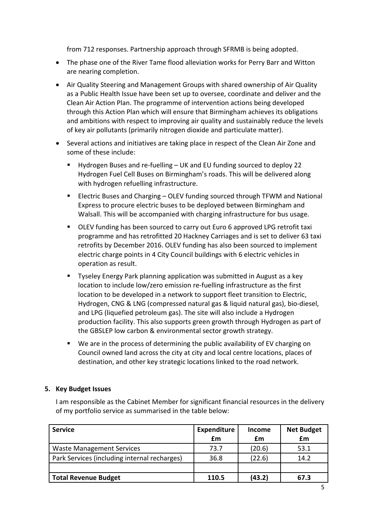from 712 responses. Partnership approach through SFRMB is being adopted.

- The phase one of the River Tame flood alleviation works for Perry Barr and Witton are nearing completion.
- Air Quality Steering and Management Groups with shared ownership of Air Quality as a Public Health Issue have been set up to oversee, coordinate and deliver and the Clean Air Action Plan. The programme of intervention actions being developed through this Action Plan which will ensure that Birmingham achieves its obligations and ambitions with respect to improving air quality and sustainably reduce the levels of key air pollutants (primarily nitrogen dioxide and particulate matter).
- Several actions and initiatives are taking place in respect of the Clean Air Zone and some of these include:
	- Hydrogen Buses and re-fuelling UK and EU funding sourced to deploy 22 Hydrogen Fuel Cell Buses on Birmingham's roads. This will be delivered along with hydrogen refuelling infrastructure.
	- Electric Buses and Charging OLEV funding sourced through TFWM and National Express to procure electric buses to be deployed between Birmingham and Walsall. This will be accompanied with charging infrastructure for bus usage.
	- OLEV funding has been sourced to carry out Euro 6 approved LPG retrofit taxi programme and has retrofitted 20 Hackney Carriages and is set to deliver 63 taxi retrofits by December 2016. OLEV funding has also been sourced to implement electric charge points in 4 City Council buildings with 6 electric vehicles in operation as result.
	- **Tyseley Energy Park planning application was submitted in August as a key** location to include low/zero emission re‐fuelling infrastructure as the first location to be developed in a network to support fleet transition to Electric, Hydrogen, CNG & LNG (compressed natural gas & liquid natural gas), bio‐diesel, and LPG (liquefied petroleum gas). The site will also include a Hydrogen production facility. This also supports green growth through Hydrogen as part of the GBSLEP low carbon & environmental sector growth strategy.
	- We are in the process of determining the public availability of EV charging on Council owned land across the city at city and local centre locations, places of destination, and other key strategic locations linked to the road network.

## **5. Key Budget Issues**

I am responsible as the Cabinet Member for significant financial resources in the delivery of my portfolio service as summarised in the table below:

| <b>Service</b>                               | <b>Expenditure</b> | <b>Income</b> | <b>Net Budget</b> |
|----------------------------------------------|--------------------|---------------|-------------------|
|                                              | £m                 | £m            | £m                |
| <b>Waste Management Services</b>             | 73.7               | (20.6)        | 53.1              |
| Park Services (including internal recharges) | 36.8               | (22.6)        | 14.2              |
|                                              |                    |               |                   |
| <b>Total Revenue Budget</b>                  | 110.5              | (43.2)        | 67.3              |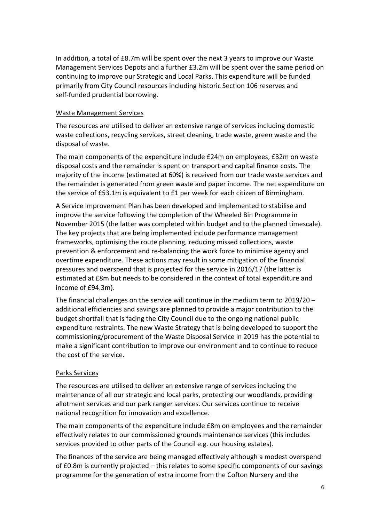In addition, a total of £8.7m will be spent over the next 3 years to improve our Waste Management Services Depots and a further £3.2m will be spent over the same period on continuing to improve our Strategic and Local Parks. This expenditure will be funded primarily from City Council resources including historic Section 106 reserves and self‐funded prudential borrowing.

#### Waste Management Services

The resources are utilised to deliver an extensive range of services including domestic waste collections, recycling services, street cleaning, trade waste, green waste and the disposal of waste.

The main components of the expenditure include £24m on employees, £32m on waste disposal costs and the remainder is spent on transport and capital finance costs. The majority of the income (estimated at 60%) is received from our trade waste services and the remainder is generated from green waste and paper income. The net expenditure on the service of £53.1m is equivalent to £1 per week for each citizen of Birmingham.

A Service Improvement Plan has been developed and implemented to stabilise and improve the service following the completion of the Wheeled Bin Programme in November 2015 (the latter was completed within budget and to the planned timescale). The key projects that are being implemented include performance management frameworks, optimising the route planning, reducing missed collections, waste prevention & enforcement and re‐balancing the work force to minimise agency and overtime expenditure. These actions may result in some mitigation of the financial pressures and overspend that is projected for the service in 2016/17 (the latter is estimated at £8m but needs to be considered in the context of total expenditure and income of £94.3m).

The financial challenges on the service will continue in the medium term to 2019/20 – additional efficiencies and savings are planned to provide a major contribution to the budget shortfall that is facing the City Council due to the ongoing national public expenditure restraints. The new Waste Strategy that is being developed to support the commissioning/procurement of the Waste Disposal Service in 2019 has the potential to make a significant contribution to improve our environment and to continue to reduce the cost of the service.

## Parks Services

The resources are utilised to deliver an extensive range of services including the maintenance of all our strategic and local parks, protecting our woodlands, providing allotment services and our park ranger services. Our services continue to receive national recognition for innovation and excellence.

The main components of the expenditure include £8m on employees and the remainder effectively relates to our commissioned grounds maintenance services (this includes services provided to other parts of the Council e.g. our housing estates).

The finances of the service are being managed effectively although a modest overspend of £0.8m is currently projected – this relates to some specific components of our savings programme for the generation of extra income from the Cofton Nursery and the